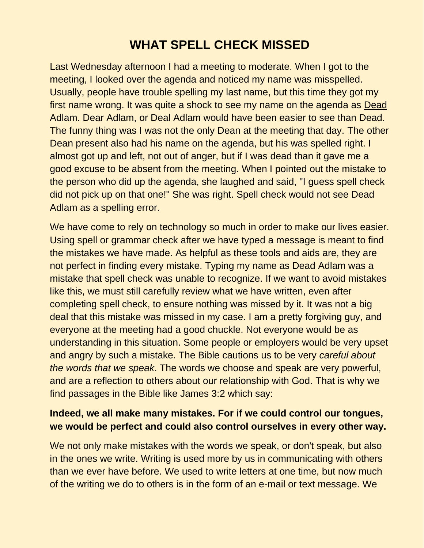## **WHAT SPELL CHECK MISSED**

Last Wednesday afternoon I had a meeting to moderate. When I got to the meeting, I looked over the agenda and noticed my name was misspelled. Usually, people have trouble spelling my last name, but this time they got my first name wrong. It was quite a shock to see my name on the agenda as Dead Adlam. Dear Adlam, or Deal Adlam would have been easier to see than Dead. The funny thing was I was not the only Dean at the meeting that day. The other Dean present also had his name on the agenda, but his was spelled right. I almost got up and left, not out of anger, but if I was dead than it gave me a good excuse to be absent from the meeting. When I pointed out the mistake to the person who did up the agenda, she laughed and said, "I guess spell check did not pick up on that one!" She was right. Spell check would not see Dead Adlam as a spelling error.

We have come to rely on technology so much in order to make our lives easier. Using spell or grammar check after we have typed a message is meant to find the mistakes we have made. As helpful as these tools and aids are, they are not perfect in finding every mistake. Typing my name as Dead Adlam was a mistake that spell check was unable to recognize. If we want to avoid mistakes like this, we must still carefully review what we have written, even after completing spell check, to ensure nothing was missed by it. It was not a big deal that this mistake was missed in my case. I am a pretty forgiving guy, and everyone at the meeting had a good chuckle. Not everyone would be as understanding in this situation. Some people or employers would be very upset and angry by such a mistake. The Bible cautions us to be very *careful about the words that we speak*. The words we choose and speak are very powerful, and are a reflection to others about our relationship with God. That is why we find passages in the Bible like James 3:2 which say:

## **Indeed, we all make many mistakes. For if we could control our tongues, we would be perfect and could also control ourselves in every other way.**

We not only make mistakes with the words we speak, or don't speak, but also in the ones we write. Writing is used more by us in communicating with others than we ever have before. We used to write letters at one time, but now much of the writing we do to others is in the form of an e-mail or text message. We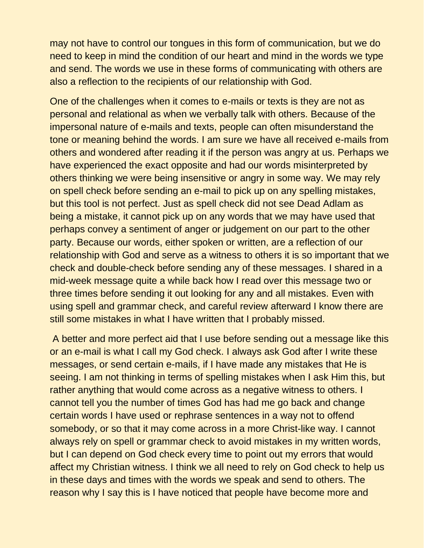may not have to control our tongues in this form of communication, but we do need to keep in mind the condition of our heart and mind in the words we type and send. The words we use in these forms of communicating with others are also a reflection to the recipients of our relationship with God.

One of the challenges when it comes to e-mails or texts is they are not as personal and relational as when we verbally talk with others. Because of the impersonal nature of e-mails and texts, people can often misunderstand the tone or meaning behind the words. I am sure we have all received e-mails from others and wondered after reading it if the person was angry at us. Perhaps we have experienced the exact opposite and had our words misinterpreted by others thinking we were being insensitive or angry in some way. We may rely on spell check before sending an e-mail to pick up on any spelling mistakes, but this tool is not perfect. Just as spell check did not see Dead Adlam as being a mistake, it cannot pick up on any words that we may have used that perhaps convey a sentiment of anger or judgement on our part to the other party. Because our words, either spoken or written, are a reflection of our relationship with God and serve as a witness to others it is so important that we check and double-check before sending any of these messages. I shared in a mid-week message quite a while back how I read over this message two or three times before sending it out looking for any and all mistakes. Even with using spell and grammar check, and careful review afterward I know there are still some mistakes in what I have written that I probably missed.

A better and more perfect aid that I use before sending out a message like this or an e-mail is what I call my God check. I always ask God after I write these messages, or send certain e-mails, if I have made any mistakes that He is seeing. I am not thinking in terms of spelling mistakes when I ask Him this, but rather anything that would come across as a negative witness to others. I cannot tell you the number of times God has had me go back and change certain words I have used or rephrase sentences in a way not to offend somebody, or so that it may come across in a more Christ-like way. I cannot always rely on spell or grammar check to avoid mistakes in my written words, but I can depend on God check every time to point out my errors that would affect my Christian witness. I think we all need to rely on God check to help us in these days and times with the words we speak and send to others. The reason why I say this is I have noticed that people have become more and